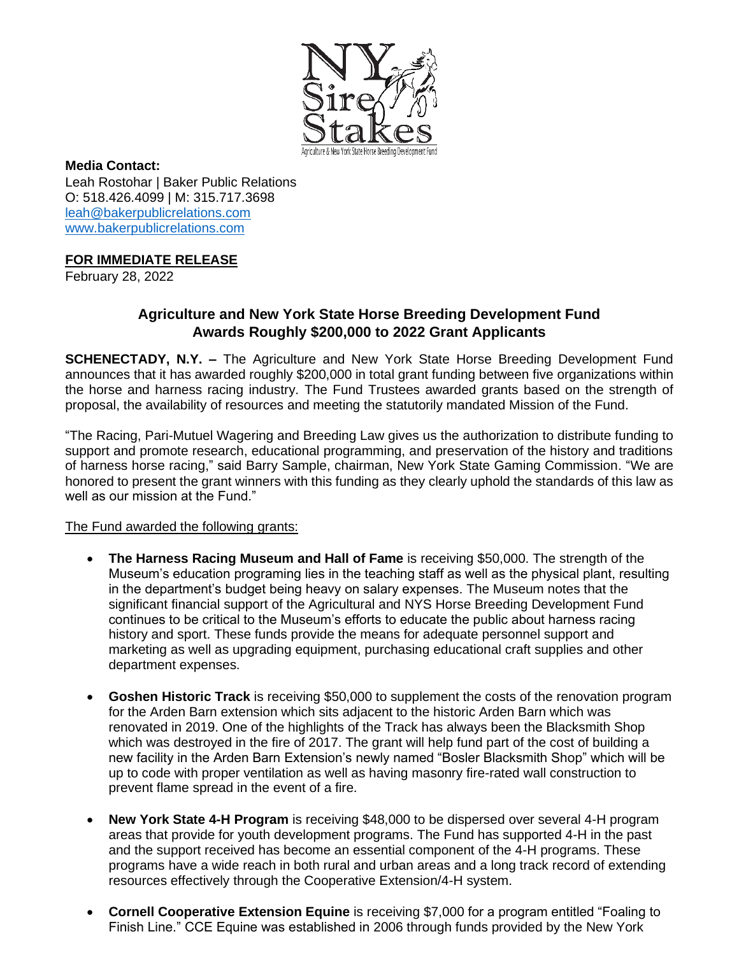

**Media Contact:** Leah Rostohar | Baker Public Relations O: 518.426.4099 | M: 315.717.3698 [leah@bakerpublicrelations.com](mailto:leah@bakerpublicrelations.com) [www.bakerpublicrelations.com](http://www.bakerpublicrelations.com/)

## **FOR IMMEDIATE RELEASE**

February 28, 2022

## **Agriculture and New York State Horse Breeding Development Fund Awards Roughly \$200,000 to 2022 Grant Applicants**

**SCHENECTADY, N.Y. –** The Agriculture and New York State Horse Breeding Development Fund announces that it has awarded roughly \$200,000 in total grant funding between five organizations within the horse and harness racing industry. The Fund Trustees awarded grants based on the strength of proposal, the availability of resources and meeting the statutorily mandated Mission of the Fund.

"The Racing, Pari-Mutuel Wagering and Breeding Law gives us the authorization to distribute funding to support and promote research, educational programming, and preservation of the history and traditions of harness horse racing," said Barry Sample, chairman, New York State Gaming Commission. "We are honored to present the grant winners with this funding as they clearly uphold the standards of this law as well as our mission at the Fund."

## The Fund awarded the following grants:

- **The Harness Racing Museum and Hall of Fame** is receiving \$50,000. The strength of the Museum's education programing lies in the teaching staff as well as the physical plant, resulting in the department's budget being heavy on salary expenses. The Museum notes that the significant financial support of the Agricultural and NYS Horse Breeding Development Fund continues to be critical to the Museum's efforts to educate the public about harness racing history and sport. These funds provide the means for adequate personnel support and marketing as well as upgrading equipment, purchasing educational craft supplies and other department expenses.
- **Goshen Historic Track** is receiving \$50,000 to supplement the costs of the renovation program for the Arden Barn extension which sits adjacent to the historic Arden Barn which was renovated in 2019. One of the highlights of the Track has always been the Blacksmith Shop which was destroyed in the fire of 2017. The grant will help fund part of the cost of building a new facility in the Arden Barn Extension's newly named "Bosler Blacksmith Shop" which will be up to code with proper ventilation as well as having masonry fire-rated wall construction to prevent flame spread in the event of a fire.
- **New York State 4-H Program** is receiving \$48,000 to be dispersed over several 4-H program areas that provide for youth development programs. The Fund has supported 4-H in the past and the support received has become an essential component of the 4-H programs. These programs have a wide reach in both rural and urban areas and a long track record of extending resources effectively through the Cooperative Extension/4-H system.
- **Cornell Cooperative Extension Equine** is receiving \$7,000 for a program entitled "Foaling to Finish Line." CCE Equine was established in 2006 through funds provided by the New York